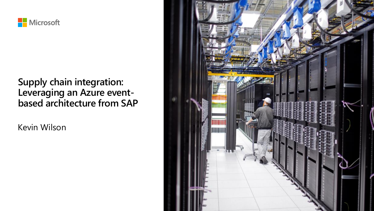

#### **Supply chain integration: Leveraging an Azure eventbased architecture from SAP**

Kevin Wilson

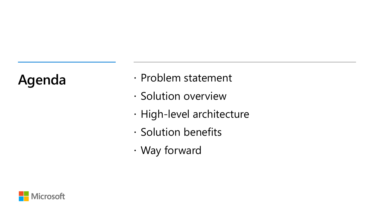- Agenda · Problem statement
	- · Solution overview
	- · High-level architecture
	- · Solution benefits
	- Way forward

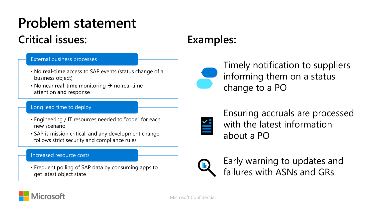## **Problem statement**

### **Critical issues:**

#### External business processes

- No **real-time** access to SAP events (status change of a business object)
- No near **real-time** monitoring → no real time attention **and** response

#### Long lead time to deploy

- Engineering / IT resources needed to "code" for each new scenario
- SAP is mission critical, and any development change follows strict security and compliance rules

#### Increased resource costs

• Frequent polling of SAP data by consuming apps to get latest object state

#### **Examples:**



Timely notification to suppliers informing them on a status change to a PO



Ensuring accruals are processed with the latest information about a PO



Early warning to updates and failures with ASNs and GRs

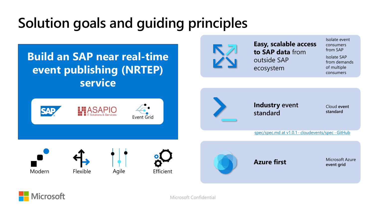## **Solution goals and guiding principles**

**Build an SAP near real-time event publishing (NRTEP) service**





**Easy, scalable access to SAP data** from outside SAP ecosystem

Isolate event consumers from SAP

Isolate SAP from demands of multiple consumers

**Industry event standard**

Cloud **event standard**

[spec/spec.md at v1.0.1 · cloudevents/spec · GitHub](https://github.com/cloudevents/spec/blob/v1.0.1/spec.md)

Modern Flexible Agile Efficient





**event grid**

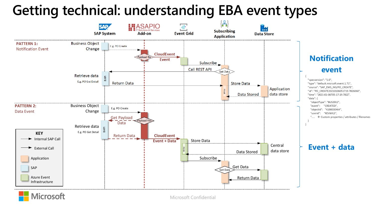### **Getting technical: understanding EBA event types**



**Microsoft**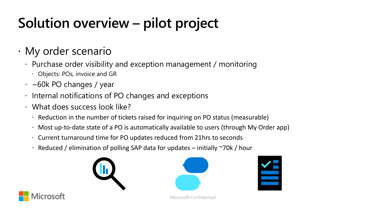# **Solution overview – pilot project**

#### My order scenario

- Purchase order visibility and exception management / monitoring
	- Objects: POs, invoice and GR
- $\cdot$  ~60k PO changes / year
- $\cdot$  Internal notifications of PO changes and exceptions
- What does success look like?
	- Reduction in the number of tickets raised for inquiring on PO status (measurable)
	- Most up-to-date state of a PO is automatically available to users (through My Order app)
	- Current turnaround time for PO updates reduced from 21hrs to seconds
	- $\cdot$  Reduced / elimination of polling SAP data for updates initially  $\sim$ 70k / hour









Microsoft Confidential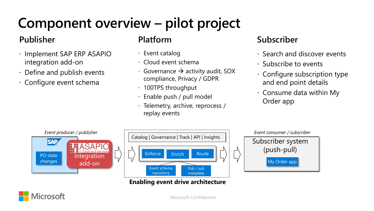# **Component overview – pilot project**

#### **Publisher**

- $\cdot$  Implement SAP ERP ASAPIO integration add-on
- Define and publish events
- Configure event schema

#### **Platform**

- Event catalog
- Cloud event schema
- Governance  $\rightarrow$  activity audit, SOX compliance, Privacy / GDPR
- 100TPS throughput
- Enable push / pull model
- $\cdot$  Telemetry, archive, reprocess / replay events

#### **Subscriber**

- $\cdot$  Search and discover events
- $\cdot$  Subscribe to events
- $\cdot$  Configure subscription type and end point details
- $\cdot$  Consume data within My Order app

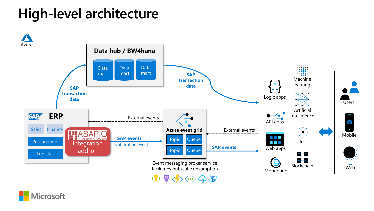## **High-level architecture**



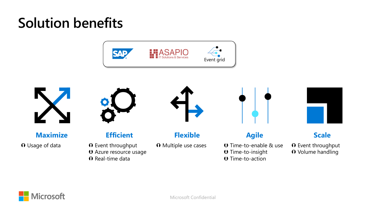## **Solution benefits**





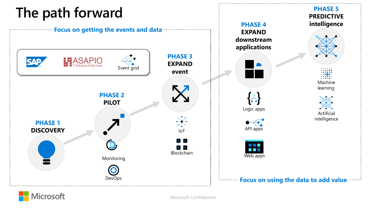## **The path forward**



**PHASE 5**

**Microsoft**